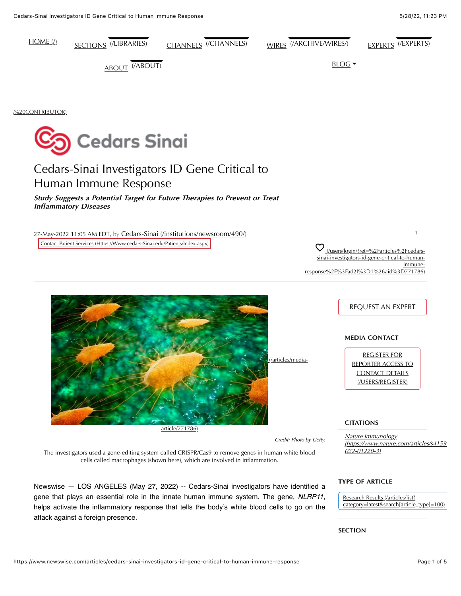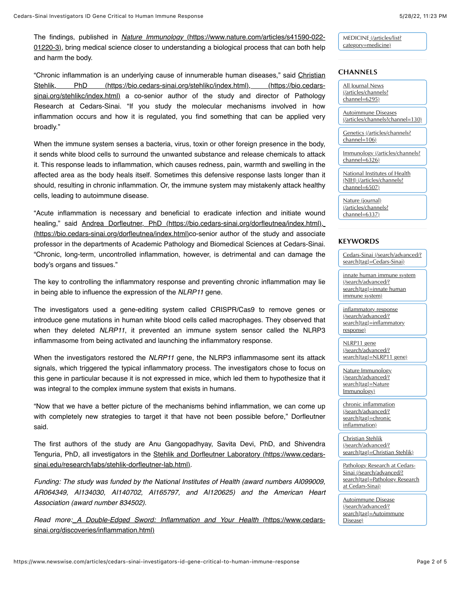The findings, published in *Nature Immunology* (https://www.nature.com/articles/s41590-022- [01220-3\), bring medical science closer to understanding a biological process that can both help](https://www.nature.com/articles/s41590-022-01220-3) and harm the body.

"Chronic inflammation is an underlying cause of innumerable human diseases," said Christian [Stehlik, PhD \(https://bio.cedars-sinai.org/stehlikc/index.html\), \(https://bio.cedars](https://bio.cedars-sinai.org/stehlikc/index.html)sinai.org/stehlikc/index.html) a co-senior author of the study and director of Pathology Research at Cedars-Sinai. "If you study the molecular mechanisms involved in how inflammation occurs and how it is regulated, you find something that can be applied very broadly."

When the immune system senses a bacteria, virus, toxin or other foreign presence in the body, it sends white blood cells to surround the unwanted substance and release chemicals to attack it. This response leads to inflammation, which causes redness, pain, warmth and swelling in the affected area as the body heals itself. Sometimes this defensive response lasts longer than it should, resulting in chronic inflammation. Or, the immune system may mistakenly attack healthy cells, leading to autoimmune disease.

"Acute inflammation is necessary and beneficial to eradicate infection and initiate wound healing," said [Andrea Dorfleutner, PhD \(https://bio.cedars-sinai.org/dorfleutnea/index.html\)](https://bio.cedars-sinai.org/dorfleutnea/index.html), [\(https://bio.cedars-sinai.org/dorfleutnea/index.html\)co-senior author of the study and associate](https://bio.cedars-sinai.org/dorfleutnea/index.html) professor in the departments of Academic Pathology and Biomedical Sciences at Cedars-Sinai. "Chronic, long-term, uncontrolled inflammation, however, is detrimental and can damage the body's organs and tissues."

The key to controlling the inflammatory response and preventing chronic inflammation may lie in being able to influence the expression of the *NLRP11* gene.

The investigators used a gene-editing system called CRISPR/Cas9 to remove genes or introduce gene mutations in human white blood cells called macrophages. They observed that when they deleted *NLRP11*, it prevented an immune system sensor called the NLRP3 inflammasome from being activated and launching the inflammatory response.

When the investigators restored the *NLRP11* gene, the NLRP3 inflammasome sent its attack signals, which triggered the typical inflammatory process. The investigators chose to focus on this gene in particular because it is not expressed in mice, which led them to hypothesize that it was integral to the complex immune system that exists in humans.

"Now that we have a better picture of the mechanisms behind inflammation, we can come up with completely new strategies to target it that have not been possible before," Dorfleutner said.

The first authors of the study are Anu Gangopadhyay, Savita Devi, PhD, and Shivendra Tenguria, PhD, all investigators in the [Stehlik and Dorfleutner Laboratory \(https://www.cedars](https://www.cedars-sinai.edu/research/labs/stehlik-dorfleutner-lab.html)sinai.edu/research/labs/stehlik-dorfleutner-lab.html).

*Funding: The study was funded by the National Institutes of Health (award numbers AI099009, AR064349, AI134030, AI140702, AI165797, and AI120625) and the American Heart Association (award number 834502).*

*Read more: [A Double-Edged Sword: Inflammation and Your Health](https://www.cedars-sinai.org/discoveries/inflammation.html)* (https://www.cedarssinai.org/discoveries/inflammation.html)

[MEDICINE \(/articles/list?](https://www.newswise.com/articles/list?category=medicine) category=medicine)

# **CHANNELS**

All Journal News [\(/articles/channels?](https://www.newswise.com/articles/channels?channel=6295) channel=6295)

Autoimmune Diseases [\(/articles/channels?channel=130\)](https://www.newswise.com/articles/channels?channel=130)

[Genetics \(/articles/channels?](https://www.newswise.com/articles/channels?channel=106) channel=106)

[Immunology \(/articles/channels?](https://www.newswise.com/articles/channels?channel=6326) channel=6326)

[National Institutes of Health](https://www.newswise.com/articles/channels?channel=6507) (NIH) (/articles/channels? channel=6507)

Nature (journal) [\(/articles/channels?](https://www.newswise.com/articles/channels?channel=6337) channel=6337)

## **KEYWORDS**

[Cedars-Sinai \(/search/advanced/?](https://www.newswise.com/search/advanced/?search%5Btag%5D=Cedars-Sinai) search[tag]=Cedars-Sinai)

[innate human immune system](https://www.newswise.com/search/advanced/?search%5Btag%5D=innate%20human%20immune%20system) (/search/advanced/? search[tag]=innate human immune system)

inflammatory response (/search/advanced/? [search\[tag\]=inflammatory](https://www.newswise.com/search/advanced/?search%5Btag%5D=inflammatory%20response) response)

NLRP11 gene (/search/advanced/? [search\[tag\]=NLRP11 gene\)](https://www.newswise.com/search/advanced/?search%5Btag%5D=NLRP11%20gene)

[Nature Immunology](https://www.newswise.com/search/advanced/?search%5Btag%5D=Nature%20Immunology) (/search/advanced/? search[tag]=Nature Immunology)

[chronic inflammation](https://www.newswise.com/search/advanced/?search%5Btag%5D=chronic%20inflammation) (/search/advanced/? search[tag]=chronic inflammation)

Christian Stehlik (/search/advanced/? [search\[tag\]=Christian Stehlik\)](https://www.newswise.com/search/advanced/?search%5Btag%5D=Christian%20Stehlik)

Pathology Research at Cedars-Sinai (/search/advanced/? [search\[tag\]=Pathology Research](https://www.newswise.com/search/advanced/?search%5Btag%5D=Pathology%20Research%20at%20Cedars-Sinai) at Cedars-Sinai)

Autoimmune Disease (/search/advanced/? [search\[tag\]=Autoimmune](https://www.newswise.com/search/advanced/?search%5Btag%5D=Autoimmune%20Disease) Disease)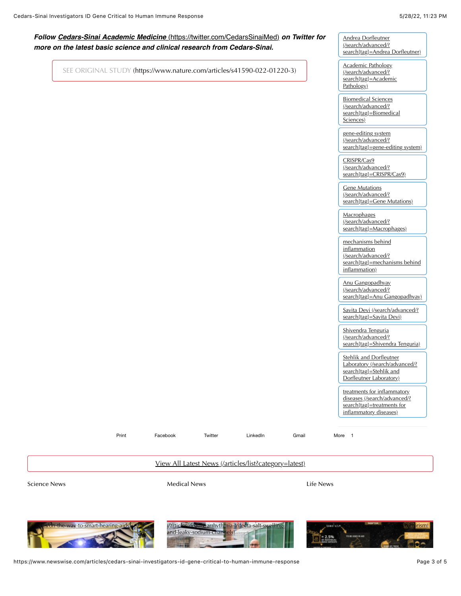# *Follow Cedars-Sinai Academic Medicine* [\(https://twitter.com/CedarsSinaiMed\)](https://twitter.com/CedarsSinaiMed) *on Twitter for more on the latest basic science and clinical research from Cedars-Sinai.*

[SEE ORIGINAL STUDY \(https://www.nature.com/articles/s41590-022-01220-3\)](https://www.nature.com/articles/s41590-022-01220-3)

Andrea Dorfleutner (/search/advanced/? [search\[tag\]=Andrea Dorfleutner\)](https://www.newswise.com/search/advanced/?search%5Btag%5D=Andrea%20Dorfleutner)

Academic Pathology (/search/advanced/? [search\[tag\]=Academic](https://www.newswise.com/search/advanced/?search%5Btag%5D=Academic%20Pathology) Pathology)

Biomedical Sciences (/search/advanced/? [search\[tag\]=Biomedical](https://www.newswise.com/search/advanced/?search%5Btag%5D=Biomedical%20Sciences) Sciences)

gene-editing system (/search/advanced/? [search\[tag\]=gene-editing system\)](https://www.newswise.com/search/advanced/?search%5Btag%5D=gene-editing%20system)

CRISPR/Cas9 (/search/advanced/? [search\[tag\]=CRISPR/Cas9\)](https://www.newswise.com/search/advanced/?search%5Btag%5D=CRISPR/Cas9)

**Gene Mutations** (/search/advanced/? [search\[tag\]=Gene Mutations\)](https://www.newswise.com/search/advanced/?search%5Btag%5D=Gene%20Mutations)

**Macrophages** (/search/advanced/? [search\[tag\]=Macrophages\)](https://www.newswise.com/search/advanced/?search%5Btag%5D=Macrophages)

mechanisms behind inflammation (/search/advanced/? [search\[tag\]=mechanisms behind](https://www.newswise.com/search/advanced/?search%5Btag%5D=mechanisms%20behind%20inflammation) inflammation)

Anu Gangopadhyay (/search/advanced/? [search\[tag\]=Anu Gangopadhyay\)](https://www.newswise.com/search/advanced/?search%5Btag%5D=Anu%20Gangopadhyay)

[Savita Devi \(/search/advanced/?](https://www.newswise.com/search/advanced/?search%5Btag%5D=Savita%20Devi) search[tag]=Savita Devi)

Shivendra Tenguria (/search/advanced/? [search\[tag\]=Shivendra Tenguria\)](https://www.newswise.com/search/advanced/?search%5Btag%5D=Shivendra%20Tenguria)

Stehlik and Dorfleutner [Laboratory \(/search/advanced/?](https://www.newswise.com/search/advanced/?search%5Btag%5D=Stehlik%20and%20Dorfleutner%20Laboratory) search[tag]=Stehlik and Dorfleutner Laboratory)

treatments for inflammatory [diseases \(/search/advanced/?](https://www.newswise.com/search/advanced/?search%5Btag%5D=treatments%20for%20inflammatory%20diseases) search[tag]=treatments for inflammatory diseases)

Print Facebook Twitter LinkedIn Gmail More 1

[View All Latest News \(/articles/list?category=latest\)](https://www.newswise.com/articles/list?category=latest)

Science News **Medical News** Medical News **Medical News** Life News



https://www.newswise.com/articles/cedars-sinai-investigators-id-gene-critical-to-human-immune-response Page 3 of 5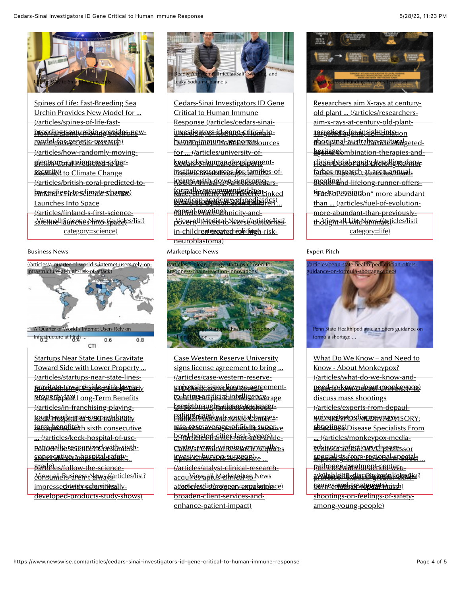

Spines of Life: Fast-Breeding Sea Urchin Provides New Model for ... (/articles/spines-of-life-fast-<u>broedingteraty rabin-provider new-</u> <u>eagde||Torrecogtic-research)</u> (/articles/how-randomly-moving-<u>electrons-can-improve-cybe</u>r-<u>Resuliant to Climate Change</u> [\(/articles/british-coral-predicted-to](https://www.newswise.com/articles/british-coral-predicted-to-be-resilient-to-climate-change)be-resilient-to-climate-change) Launches Into Space (/articles/finland-s-first-scienceskiem tell aus en es News (/articles/list? category=science)

#### Business News



**Startups Near State Lines Gravitate** [Toward Side with Lower Property ...](https://www.newswise.com/articles/startups-near-state-lines-gravitate-toward-side-with-lower-property-tax) (/articles/startups-near-state-lines-<u>stavitatertowgrøisidegmith-loweshy</u> <u>Mapsthy-JaX) Long-Term Benefits</u> (/articles/in-franchising-playing-<u>KOARI-BARIXLAN OX-ELARDALII İSANBIY</u> <u>terwghezedits) the sixth consecutive</u> ... (/articles/keck-hospital-of-usc-<u>pationally-recregnized-with-sixth-</u> <u>spenreghtivesa hospital patety ...</u> <u>gradeles/follow-the-science-</u> <u> Yinsumlekssaness NawsyGrticles/list?</u> <u>impresse**dategoryscharstificsa**lly-</u> developed-products-study-shows)



[Cedars-Sinai Investigators ID Gene](https://www.newswise.com/articles/cedars-sinai-investigators-id-gene-critical-to-human-immune-response) Critical to Human Immune Response (/articles/cedars-sinai-<u>ionretisato*s*s-id-bener-critical-to-</u> bevan-immune-responses for ... (/articles/university-of-<u>kentucky: human-development-</u> <u>institutebresources for familio</u>s-of-<u>instents-amith-do.wwa smeresoecears-</u> formally-recommended-by-Linked american-academy of pediatrics)<br>to Worse Outcomes in Children ... <u>#anticle@ecting) nicity-and-</u> <u>phovrallimedicabNewsKasticles/hiels-</u> <u>in-childreategoayeda to hidingh-risk-</u> neuroblastoma)

Marketplace News



Case Western Reserve University signs license agreement to bring... (/articles/case-western-reserve-<u>sniversity-sigms-biganse-agreement-</u> <u>tsehrings-prificial-intelligence-age</u> breakthroughs-closer-to-cancer-Of 56% In ... (/articles/stdcheck-<u>patient-Gareveals-genitat-bermes-</u> <u>rate-rosciave rages un i abairy superive</u> <u>bowl-hasted-cities-last-3 maars)kle-</u> <u>Cantryst Catrical Reisea Minimally es</u> <u>invasive:Invaipio suresierate ...</u> (/articles/atalyst-clinical-research-<u>acquires saptus terkstelage News</u> <u>a*l/*aetlierłatelist?catogony=mparkstplace)</u> broaden-client-services-andenhance-patient-impact)



Researchers aim X-rays at centuryold plant ... (/articles/researchersaim-x-rays-at-century-old-plant-<u>rafgetion afentin sightbinterion</u> <u>aboriginal-awstralian-reulturalgeted-</u> <u>hgeites ebmbination-therapies-and-</u> <u>Elenidappegeangx-headline-dana-</u> <u>forbers repsarch-atarereres/mearl-</u> <u>meetinshd-lifelong-runner-offers-</u> tips-to-running on" more abundant than ... (/articles/fuel-of-evolutionmore-abundant-than-previouslytho light all Life de wood articles/list? category=life)

## Expert Pitch



What Do We Know – and Need to Know - About Monkeypox? (/articles/what-do-we-know-andpeed-to-know-about-monkeypox) discuss mass shootings (/articles/experts-from-depaul-<u>MNONKEWPOX MEDIA MADYS ORY:</u> <u>phrectings)Disease Specialists From</u> ... (/articles/monkeypox-media-<u>vdnifour-infratiows-diferefessor</u> <u>erpeialists-from-sreional-specielt …</u> <u>patheres/withdouent-center-</u> <u>availableHtExpiec#sishommkielmadist?</u> <u>bullece franc-treatments) pitch)</u> shootings-on-feelings-of-safetyamong-young-people)